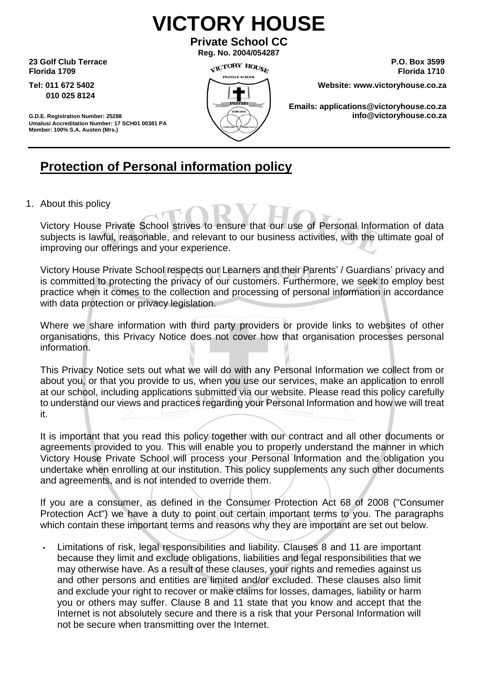## **VICTORY HOUSE**

**Private School CC Reg. No. 2004/054287**

**23 Golf Club Terrace** P.O. Box 3599<br> **23 Golf Club Terrace** P.O. Box 3599<br> **21 Golf Club Terrace** Plant of the State of the State of the State of the State of the State of the State of the State of the State of the State **Florida 1709 Florida 1710** 

**010 025 8124** 



**Tel: 011 672 5402 Website: www.victoryhouse.co.za** 

**Emails: applications@victoryhouse.co.za G.D.E. Registration Number: <sup>25288</sup> info@victoryhouse.co.za** 

**Umalusi Accreditation Number: 17 SCH01 00381 PA Member: 100% S.A. Austen (Mrs.)**

### **Protection of Personal information policy**

1. About this policy

Victory House Private School strives to ensure that our use of Personal Information of data subjects is lawful, reasonable, and relevant to our business activities, with the ultimate goal of improving our offerings and your experience.

Victory House Private School respects our Learners and their Parents' / Guardians' privacy and is committed to protecting the privacy of our customers. Furthermore, we seek to employ best practice when it comes to the collection and processing of personal information in accordance with data protection or privacy legislation.

Where we share information with third party providers or provide links to websites of other organisations, this Privacy Notice does not cover how that organisation processes personal information.

This Privacy Notice sets out what we will do with any Personal Information we collect from or about you, or that you provide to us, when you use our services, make an application to enroll at our school, including applications submitted via our website. Please read this policy carefully to understand our views and practices regarding your Personal Information and how we will treat it.

It is important that you read this policy together with our contract and all other documents or agreements provided to you. This will enable you to properly understand the manner in which Victory House Private School will process your Personal Information and the obligation you undertake when enrolling at our institution. This policy supplements any such other documents and agreements, and is not intended to override them.

If you are a consumer, as defined in the Consumer Protection Act 68 of 2008 ("Consumer Protection Act") we have a duty to point out certain important terms to you. The paragraphs which contain these important terms and reasons why they are important are set out below.

• Limitations of risk, legal responsibilities and liability. Clauses 8 and 11 are important because they limit and exclude obligations, liabilities and legal responsibilities that we may otherwise have. As a result of these clauses, your rights and remedies against us and other persons and entities are limited and/or excluded. These clauses also limit and exclude your right to recover or make claims for losses, damages, liability or harm you or others may suffer. Clause 8 and 11 state that you know and accept that the Internet is not absolutely secure and there is a risk that your Personal Information will not be secure when transmitting over the Internet.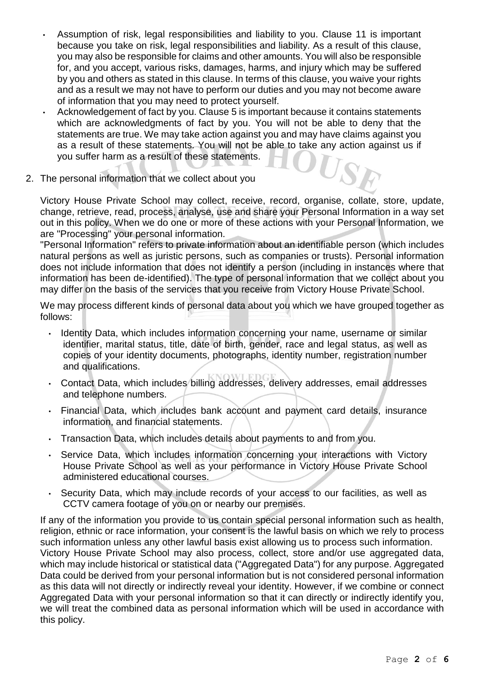- Assumption of risk, legal responsibilities and liability to you. Clause 11 is important because you take on risk, legal responsibilities and liability. As a result of this clause, you may also be responsible for claims and other amounts. You will also be responsible for, and you accept, various risks, damages, harms, and injury which may be suffered by you and others as stated in this clause. In terms of this clause, you waive your rights and as a result we may not have to perform our duties and you may not become aware of information that you may need to protect yourself.
- Acknowledgement of fact by you. Clause 5 is important because it contains statements which are acknowledgments of fact by you. You will not be able to deny that the statements are true. We may take action against you and may have claims against you as a result of these statements. You will not be able to take any action against us if you suffer harm as a result of these statements. USA
- 2. The personal information that we collect about you

Victory House Private School may collect, receive, record, organise, collate, store, update, change, retrieve, read, process, analyse, use and share your Personal Information in a way set out in this policy. When we do one or more of these actions with your Personal Information, we are "Processing" your personal information.

"Personal Information" refers to private information about an identifiable person (which includes natural persons as well as juristic persons, such as companies or trusts). Personal information does not include information that does not identify a person (including in instances where that information has been de-identified). The type of personal information that we collect about you may differ on the basis of the services that you receive from Victory House Private School.

We may process different kinds of personal data about you which we have grouped together as follows:

- Identity Data, which includes information concerning your name, username or similar identifier, marital status, title, date of birth, gender, race and legal status, as well as copies of your identity documents, photographs, identity number, registration number and qualifications.
- Contact Data, which includes billing addresses, delivery addresses, email addresses and telephone numbers.
- Financial Data, which includes bank account and payment card details, insurance information, and financial statements.
- Transaction Data, which includes details about payments to and from you.
- Service Data, which includes information concerning your interactions with Victory House Private School as well as your performance in Victory House Private School administered educational courses.
- Security Data, which may include records of your access to our facilities, as well as CCTV camera footage of you on or nearby our premises.

If any of the information you provide to us contain special personal information such as health, religion, ethnic or race information, your consent is the lawful basis on which we rely to process such information unless any other lawful basis exist allowing us to process such information. Victory House Private School may also process, collect, store and/or use aggregated data, which may include historical or statistical data ("Aggregated Data") for any purpose. Aggregated Data could be derived from your personal information but is not considered personal information as this data will not directly or indirectly reveal your identity. However, if we combine or connect Aggregated Data with your personal information so that it can directly or indirectly identify you, we will treat the combined data as personal information which will be used in accordance with this policy.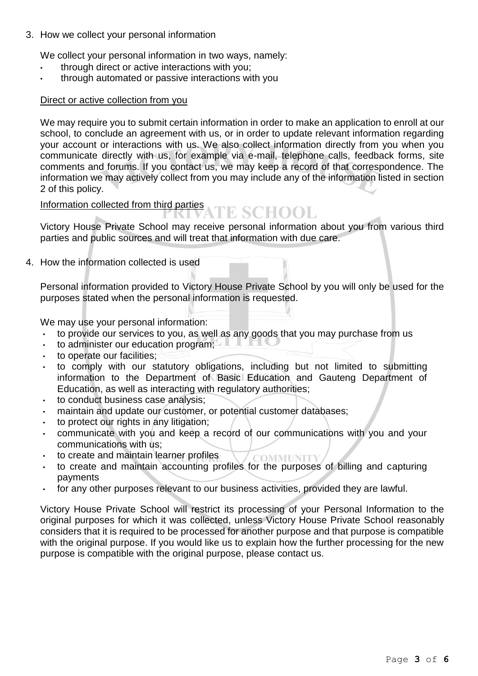3. How we collect your personal information

We collect your personal information in two ways, namely:

- through direct or active interactions with you;
- through automated or passive interactions with you

### Direct or active collection from you

We may require you to submit certain information in order to make an application to enroll at our school, to conclude an agreement with us, or in order to update relevant information regarding your account or interactions with us. We also collect information directly from you when you communicate directly with us, for example via e-mail, telephone calls, feedback forms, site comments and forums. If you contact us, we may keep a record of that correspondence. The information we may actively collect from you may include any of the information listed in section 2 of this policy.

# Information collected from third parties<br>
SCHOOL

Victory House Private School may receive personal information about you from various third parties and public sources and will treat that information with due care.

4. How the information collected is used

Personal information provided to Victory House Private School by you will only be used for the purposes stated when the personal information is requested.

We may use your personal information:

- to provide our services to you, as well as any goods that you may purchase from us
- to administer our education program;
- to operate our facilities;
- to comply with our statutory obligations, including but not limited to submitting information to the Department of Basic Education and Gauteng Department of Education, as well as interacting with regulatory authorities;
- to conduct business case analysis;
- maintain and update our customer, or potential customer databases;
- to protect our rights in any litigation;
- communicate with you and keep a record of our communications with you and your communications with us;
- to create and maintain learner profiles
- **COMMINITY** • to create and maintain accounting profiles for the purposes of billing and capturing payments
- for any other purposes relevant to our business activities, provided they are lawful.

Victory House Private School will restrict its processing of your Personal Information to the original purposes for which it was collected, unless Victory House Private School reasonably considers that it is required to be processed for another purpose and that purpose is compatible with the original purpose. If you would like us to explain how the further processing for the new purpose is compatible with the original purpose, please contact us.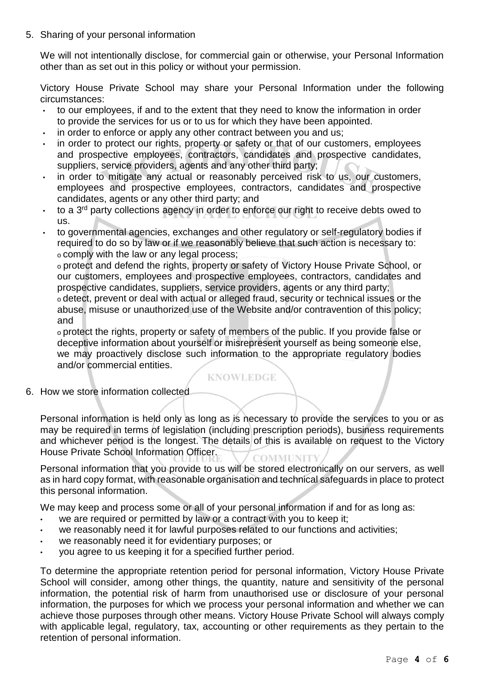5. Sharing of your personal information

We will not intentionally disclose, for commercial gain or otherwise, your Personal Information other than as set out in this policy or without your permission.

Victory House Private School may share your Personal Information under the following circumstances:

- to our employees, if and to the extent that they need to know the information in order to provide the services for us or to us for which they have been appointed.
- in order to enforce or apply any other contract between you and us;
- in order to protect our rights, property or safety or that of our customers, employees and prospective employees, contractors, candidates and prospective candidates, suppliers, service providers, agents and any other third party;
- in order to mitigate any actual or reasonably perceived risk to us, our customers, employees and prospective employees, contractors, candidates and prospective candidates, agents or any other third party; and
- to a 3 rd party collections agency in order to enforce our right to receive debts owed to us.
- to governmental agencies, exchanges and other regulatory or self-regulatory bodies if required to do so by law or if we reasonably believe that such action is necessary to: o comply with the law or any legal process;

o protect and defend the rights, property or safety of Victory House Private School, or our customers, employees and prospective employees, contractors, candidates and prospective candidates, suppliers, service providers, agents or any third party;

o detect, prevent or deal with actual or alleged fraud, security or technical issues or the abuse, misuse or unauthorized use of the Website and/or contravention of this policy; and

o protect the rights, property or safety of members of the public. If you provide false or deceptive information about yourself or misrepresent yourself as being someone else, we may proactively disclose such information to the appropriate regulatory bodies and/or commercial entities.

### **KNOWLEDGE**

6. How we store information collected

Personal information is held only as long as is necessary to provide the services to you or as may be required in terms of legislation (including prescription periods), business requirements and whichever period is the longest. The details of this is available on request to the Victory House Private School Information Officer. **COMMUNITY** 

Personal information that you provide to us will be stored electronically on our servers, as well as in hard copy format, with reasonable organisation and technical safeguards in place to protect this personal information.

We may keep and process some or all of your personal information if and for as long as:

- we are required or permitted by law or a contract with you to keep it;
- we reasonably need it for lawful purposes related to our functions and activities;
- we reasonably need it for evidentiary purposes; or
- you agree to us keeping it for a specified further period.

To determine the appropriate retention period for personal information, Victory House Private School will consider, among other things, the quantity, nature and sensitivity of the personal information, the potential risk of harm from unauthorised use or disclosure of your personal information, the purposes for which we process your personal information and whether we can achieve those purposes through other means. Victory House Private School will always comply with applicable legal, regulatory, tax, accounting or other requirements as they pertain to the retention of personal information.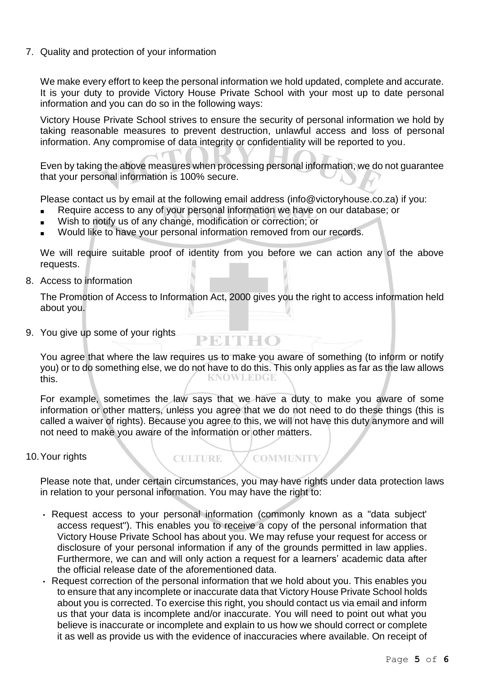7. Quality and protection of your information

We make every effort to keep the personal information we hold updated, complete and accurate. It is your duty to provide Victory House Private School with your most up to date personal information and you can do so in the following way[s:](mailto:contact@advtech.co.za)

Victory House Private School strives to ensure the security of personal information we hold by taking reasonable measures to prevent destruction, unlawful access and loss of personal information. Any compromise of data integrity or confidentiality will be reported to you.

Even by taking the above measures when processing personal information, we do not guarantee that your personal information is 100% secure.

Please contact us by email at the following email address (info@victoryhouse.co.za) if you:

- Require access to any of your personal information we have on our database; or
- Wish to notify us of any change, modification or correction; or
- Would like to have your personal information removed from our records.

**CULTURE** 

We will require suitable proof of identity from you before we can action any of the above requests.

8. Access to information

The Promotion of Access to Information Act, 2000 gives you the right to access information held about you.

9. You give up some of your rights

You agree that where the law requires us to make you aware of something (to inform or notify you) or to do something else, we do not have to do this. This only applies as far as the law allows<br>this this.

PEITHO

For example, sometimes the law says that we have a duty to make you aware of some information or other matters, unless you agree that we do not need to do these things (this is called a waiver of rights). Because you agree to this, we will not have this duty anymore and will not need to make you aware of the information or other matters.

#### 10.Your rights

Please note that, under certain circumstances, you may have rights under data protection laws in relation to your personal information. You may have the right to:

**COMMUNITY** 

- Request access to your personal information (commonly known as a "data subject' access request"). This enables you to receive a copy of the personal information that Victory House Private School has about you. We may refuse your request for access or disclosure of your personal information if any of the grounds permitted in law applies. Furthermore, we can and will only action a request for a learners' academic data after the official release date of the aforementioned data.
- Request correction of the personal information that we hold about you. This enables you to ensure that any incomplete or inaccurate data that Victory House Private School holds about you is corrected. To exercise this right, you should contact us via email and inform us that your data is incomplete and/or inaccurate. You will need to point out what you believe is inaccurate or incomplete and explain to us how we should correct or complete it as well as provide us with the evidence of inaccuracies where available. On receipt of